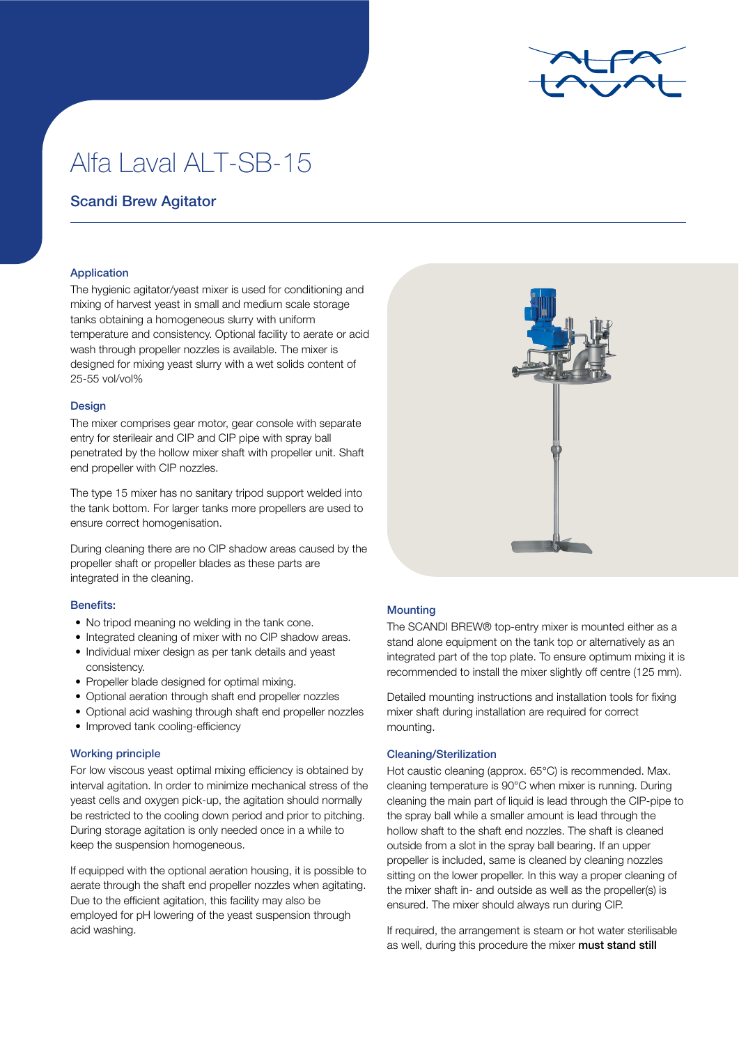

# Alfa Laval ALT-SB-15

## Scandi Brew Agitator

### Application

The hygienic agitator/yeast mixer is used for conditioning and mixing of harvest yeast in small and medium scale storage tanks obtaining a homogeneous slurry with uniform temperature and consistency. Optional facility to aerate or acid wash through propeller nozzles is available. The mixer is designed for mixing yeast slurry with a wet solids content of 25-55 vol/vol%

#### Design

The mixer comprises gear motor, gear console with separate entry for sterileair and CIP and CIP pipe with spray ball penetrated by the hollow mixer shaft with propeller unit. Shaft end propeller with CIP nozzles.

The type 15 mixer has no sanitary tripod support welded into the tank bottom. For larger tanks more propellers are used to ensure correct homogenisation.

During cleaning there are no CIP shadow areas caused by the propeller shaft or propeller blades as these parts are integrated in the cleaning.

#### Benefits:

- No tripod meaning no welding in the tank cone.
- Integrated cleaning of mixer with no CIP shadow areas.
- Individual mixer design as per tank details and yeast consistency.
- Propeller blade designed for optimal mixing.
- Optional aeration through shaft end propeller nozzles
- Optional acid washing through shaft end propeller nozzles
- Improved tank cooling-efficiency

#### Working principle

For low viscous yeast optimal mixing efficiency is obtained by interval agitation. In order to minimize mechanical stress of the yeast cells and oxygen pick-up, the agitation should normally be restricted to the cooling down period and prior to pitching. During storage agitation is only needed once in a while to keep the suspension homogeneous.

If equipped with the optional aeration housing, it is possible to aerate through the shaft end propeller nozzles when agitating. Due to the efficient agitation, this facility may also be employed for pH lowering of the yeast suspension through acid washing.



#### Mounting

The SCANDI BREW® top-entry mixer is mounted either as a stand alone equipment on the tank top or alternatively as an integrated part of the top plate. To ensure optimum mixing it is recommended to install the mixer slightly off centre (125 mm).

Detailed mounting instructions and installation tools for fixing mixer shaft during installation are required for correct mounting.

#### Cleaning/Sterilization

Hot caustic cleaning (approx. 65°C) is recommended. Max. cleaning temperature is 90°C when mixer is running. During cleaning the main part of liquid is lead through the CIP-pipe to the spray ball while a smaller amount is lead through the hollow shaft to the shaft end nozzles. The shaft is cleaned outside from a slot in the spray ball bearing. If an upper propeller is included, same is cleaned by cleaning nozzles sitting on the lower propeller. In this way a proper cleaning of the mixer shaft in- and outside as well as the propeller(s) is ensured. The mixer should always run during CIP.

If required, the arrangement is steam or hot water sterilisable as well, during this procedure the mixer must stand still